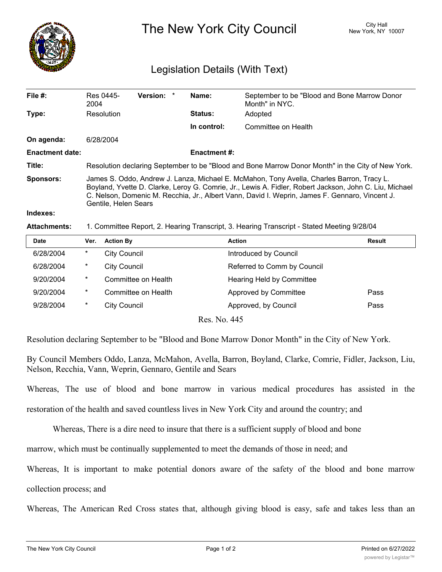

The New York City Council New York, NY 10007

## Legislation Details (With Text)

| File $#$ :             | Res 0445-<br>2004                                                                                                                                                                                                                                                                                                             | <b>Version:</b> |  | Name:          | September to be "Blood and Bone Marrow Donor<br>Month" in NYC. |  |  |
|------------------------|-------------------------------------------------------------------------------------------------------------------------------------------------------------------------------------------------------------------------------------------------------------------------------------------------------------------------------|-----------------|--|----------------|----------------------------------------------------------------|--|--|
| Type:                  | Resolution                                                                                                                                                                                                                                                                                                                    |                 |  | <b>Status:</b> | Adopted                                                        |  |  |
|                        |                                                                                                                                                                                                                                                                                                                               |                 |  | In control:    | Committee on Health                                            |  |  |
| On agenda:             | 6/28/2004                                                                                                                                                                                                                                                                                                                     |                 |  |                |                                                                |  |  |
| <b>Enactment date:</b> | <b>Enactment #:</b>                                                                                                                                                                                                                                                                                                           |                 |  |                |                                                                |  |  |
| Title:                 | Resolution declaring September to be "Blood and Bone Marrow Donor Month" in the City of New York.                                                                                                                                                                                                                             |                 |  |                |                                                                |  |  |
| <b>Sponsors:</b>       | James S. Oddo, Andrew J. Lanza, Michael E. McMahon, Tony Avella, Charles Barron, Tracy L.<br>Boyland, Yvette D. Clarke, Leroy G. Comrie, Jr., Lewis A. Fidler, Robert Jackson, John C. Liu, Michael<br>C. Nelson, Domenic M. Recchia, Jr., Albert Vann, David I. Weprin, James F. Gennaro, Vincent J.<br>Gentile, Helen Sears |                 |  |                |                                                                |  |  |
| Indexes:               |                                                                                                                                                                                                                                                                                                                               |                 |  |                |                                                                |  |  |

## **Attachments:** 1. Committee Report, 2. Hearing Transcript, 3. Hearing Transcript - Stated Meeting 9/28/04

| Date      | Ver.     | <b>Action By</b>    | <b>Action</b>               | <b>Result</b> |
|-----------|----------|---------------------|-----------------------------|---------------|
| 6/28/2004 | $\ast$   | City Council        | Introduced by Council       |               |
| 6/28/2004 | $^\star$ | <b>City Council</b> | Referred to Comm by Council |               |
| 9/20/2004 | $\ast$   | Committee on Health | Hearing Held by Committee   |               |
| 9/20/2004 | $\ast$   | Committee on Health | Approved by Committee       | Pass          |
| 9/28/2004 | $\ast$   | <b>City Council</b> | Approved, by Council        | Pass          |
|           |          |                     |                             |               |

Res. No. 445

Resolution declaring September to be "Blood and Bone Marrow Donor Month" in the City of New York.

By Council Members Oddo, Lanza, McMahon, Avella, Barron, Boyland, Clarke, Comrie, Fidler, Jackson, Liu, Nelson, Recchia, Vann, Weprin, Gennaro, Gentile and Sears

Whereas, The use of blood and bone marrow in various medical procedures has assisted in the

restoration of the health and saved countless lives in New York City and around the country; and

Whereas, There is a dire need to insure that there is a sufficient supply of blood and bone

marrow, which must be continually supplemented to meet the demands of those in need; and

Whereas, It is important to make potential donors aware of the safety of the blood and bone marrow

collection process; and

Whereas, The American Red Cross states that, although giving blood is easy, safe and takes less than an